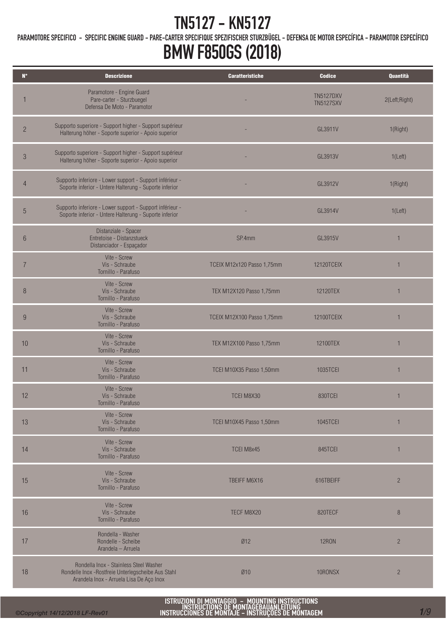PARAMOTORE SPECIFICO - SPECIFIC ENGINE GUARD - PARE-CARTER SPECIFIQUE SPEZIFISCHER STURZBÜGEL - DEFENSA DE MOTOR ESPECÍFICA - PARAMOTOR ESPECÍFICO

## BMW F850GS (2018)

| $\mathbf{N}^{\circ}$ | <b>Descrizione</b>                                                                                                                       | <b>Caratteristiche</b>     | <b>Codice</b>                        | Quantità       |
|----------------------|------------------------------------------------------------------------------------------------------------------------------------------|----------------------------|--------------------------------------|----------------|
|                      | Paramotore - Engine Guard<br>Pare-carter - Sturzbuegel<br>Defensa De Moto - Paramotor                                                    |                            | <b>TN5127DXV</b><br><b>TN5127SXV</b> | 2(Left;Right)  |
| $\overline{c}$       | Supporto superiore - Support higher - Support supérieur<br>Halterung höher - Soporte superior - Apoio superior                           |                            | GL3911V                              | 1(Right)       |
| $\mathfrak{B}$       | Supporto superiore - Support higher - Support supérieur<br>Halterung höher - Soporte superior - Apoio superior                           |                            | GL3913V                              | 1(Left)        |
| $\overline{4}$       | Supporto inferiore - Lower support - Support inférieur -<br>Soporte inferior - Untere Halterung - Suporte inferior                       |                            | GL3912V                              | 1(Right)       |
| 5                    | Supporto inferiore - Lower support - Support inférieur -<br>Soporte inferior - Untere Halterung - Suporte inferior                       |                            | GL3914V                              | 1(Left)        |
| $6\phantom{1}$       | Distanziale - Spacer<br>Entretoise - Distanzstueck<br>Distanciador - Espaçador                                                           | SP.4mm                     | GL3915V                              | 1              |
| 7                    | Vite - Screw<br>Vis - Schraube<br>Tornillo - Parafuso                                                                                    | TCEIX M12x120 Passo 1,75mm | 12120TCEIX                           | 1              |
| $\, 8$               | Vite - Screw<br>Vis - Schraube<br>Tornillo - Parafuso                                                                                    | TEX M12X120 Passo 1,75mm   | 12120TEX                             | 1              |
| 9                    | Vite - Screw<br>Vis - Schraube<br>Tornillo - Parafuso                                                                                    | TCEIX M12X100 Passo 1,75mm | 12100TCEIX                           | 1              |
| 10                   | Vite - Screw<br>Vis - Schraube<br>Tornillo - Parafuso                                                                                    | TEX M12X100 Passo 1,75mm   | 12100TEX                             | 1              |
| 11                   | Vite - Screw<br>Vis - Schraube<br>Tornillo - Parafuso                                                                                    | TCEI M10X35 Passo 1,50mm   | 1035TCEI                             | 1              |
| 12                   | Vite - Screw<br>Vis - Schraube<br>Tornillo - Parafuso                                                                                    | TCEI M8X30                 | 830TCEI                              | 1              |
| 13                   | Vite - Screw<br>Vis - Schraube<br>Tornillo - Parafuso                                                                                    | TCEI M10X45 Passo 1,50mm   | 1045TCEI                             | $\mathbf{1}$   |
| 14                   | Vite - Screw<br>Vis - Schraube<br>Tornillo - Parafuso                                                                                    | TCEI M8x45                 | 845TCEI                              | 1              |
| 15                   | Vite - Screw<br>Vis - Schraube<br>Tornillo - Parafuso                                                                                    | TBEIFF M6X16               | 616TBEIFF                            | $\overline{2}$ |
| 16                   | Vite - Screw<br>Vis - Schraube<br>Tornillo - Parafuso                                                                                    | TECF M8X20                 | 820TECF                              | 8              |
| 17                   | Rondella - Washer<br>Rondelle - Scheibe<br>Arandela - Arruela                                                                            | Ø12                        | <b>12RON</b>                         | $\overline{c}$ |
| 18                   | Rondella Inox - Stainless Steel Washer<br>Rondelle Inox -Rostfreie Unterlegscheibe Aus Stahl<br>Arandela Inox - Arruela Lisa De Aço Inox | Ø10                        | 10RONSX                              | $\overline{2}$ |

ISTRUZIONI DI MONTAGGIO – MOUNTING INSTRUCTIONS<br>| Instructions de montagebauanleitung<br>|Instrucciones de montaje – instruções de montagem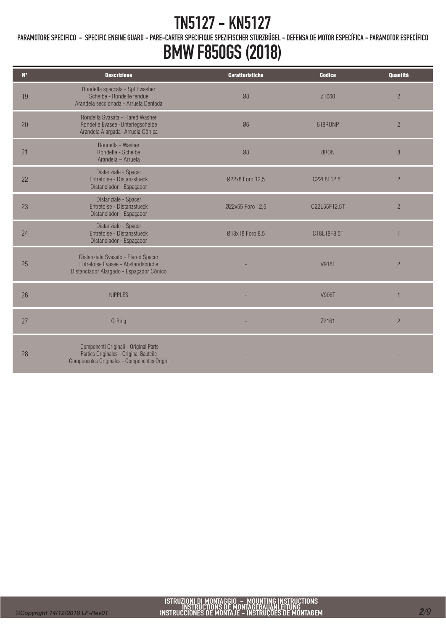PARAMOTORE SPECIFICO - SPECIFIC ENGINE GUARD - PARE-CARTER SPECIFIQUE SPEZIFISCHER STURZBÜGEL - DEFENSA DE MOTOR ESPECÍFICA - PARAMOTOR ESPECÍFICO

| $N^{\circ}$ | <b>Descrizione</b>                                                                                                             | <b>Caratteristiche</b> | <b>Codice</b> | Quantità       |
|-------------|--------------------------------------------------------------------------------------------------------------------------------|------------------------|---------------|----------------|
| 19          | Rondella spaccata - Split washer<br>Scheibe - Rondelle fendue<br>Arandela seccionada - Arruela Dentada                         | Ø8                     | Z1060         | $\overline{2}$ |
| 20          | Rondella Svasata - Flared Washer<br>Rondelle Evasee - Unterlegscheibe<br>Arandela Alargada - Arruela Cônica                    | Ø6                     | 618RONP       | $\overline{2}$ |
| 21          | Rondella - Washer<br>Rondelle - Scheibe<br>Arandela - Arruela                                                                  | Ø8                     | 8RON          | 8              |
| 22          | Distanziale - Spacer<br>Entretoise - Distanzstueck<br>Distanciador - Espaçador                                                 | Ø22x8 Foro 12,5        | C22L8F12,5T   | $\overline{2}$ |
| 23          | Distanziale - Spacer<br>Entretoise - Distanzstueck<br>Distanciador - Espaçador                                                 | Ø22x55 Foro 12,5       | C22L55F12,5T  | $\overline{2}$ |
| 24          | Distanziale - Spacer<br>Entretoise - Distanzstueck<br>Distanciador - Espaçador                                                 | Ø18x18 Foro 8,5        | C18L18F8,5T   |                |
| 25          | Distanziale Svasato - Flared Spacer<br>Entretoise Evasee - Abstandsbüche<br>Distanciador Alargado - Espaçador Cônico           |                        | <b>V918T</b>  | $\overline{2}$ |
| 26          | <b>NIPPLES</b>                                                                                                                 |                        | V906T         |                |
| 27          | 0-Ring                                                                                                                         |                        | Z2161         | $\overline{2}$ |
| 28          | Componenti Originali - Original Parts<br>Parties Originales - Original Bauteile<br>Componentes Originales - Componentes Origin |                        |               |                |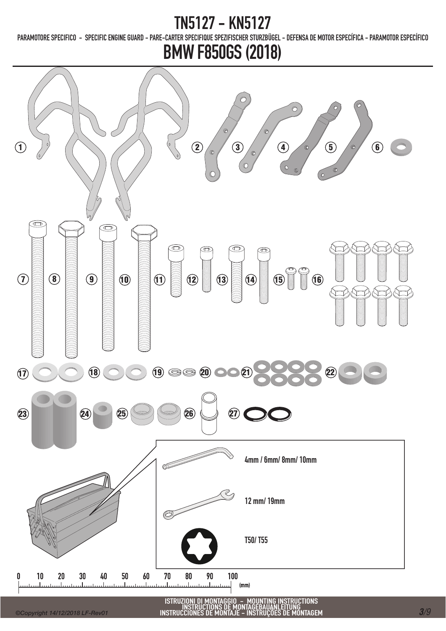### 127 - KN5127

PARAMOTORE SPECIFICO - SPECIFIC ENGINE GUARD - PARE-CARTER SPECIFIQUE SPEZIFISCHER STURZBÜGEL - DEFENSA DE MOTOR ESPECÍFICA - PARAMOTOR ESPECÍFICO

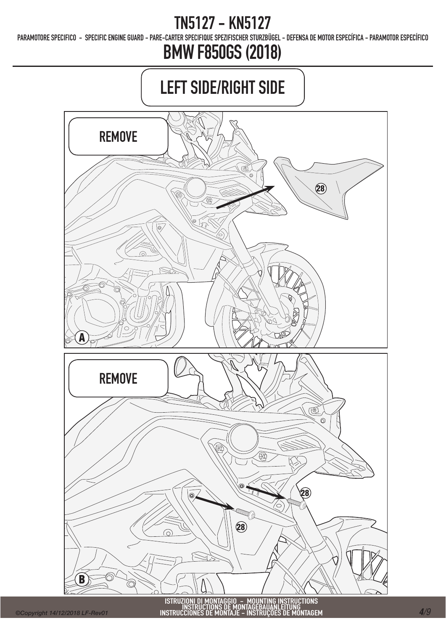PARAMOTORE SPECIFICO - SPECIFIC ENGINE GUARD - PARE-CARTER SPECIFIQUE SPEZIFISCHER STURZBÜGEL - DEFENSA DE MOTOR ESPECÍFICA - PARAMOTOR ESPECÍFICO

# BMW F850GS (2018)

# LEFT SIDE/RIGHT SIDE



*©Copyright 14/12/2018 LF-Rev01*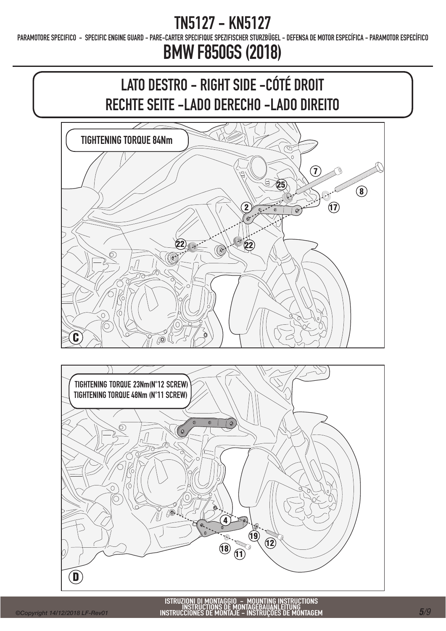PARAMOTORE SPECIFICO - SPECIFIC ENGINE GUARD - PARE-CARTER SPECIFIQUE SPEZIFISCHER STURZBÜGEL - DEFENSA DE MOTOR ESPECÍFICA - PARAMOTOR ESPECÍFICO



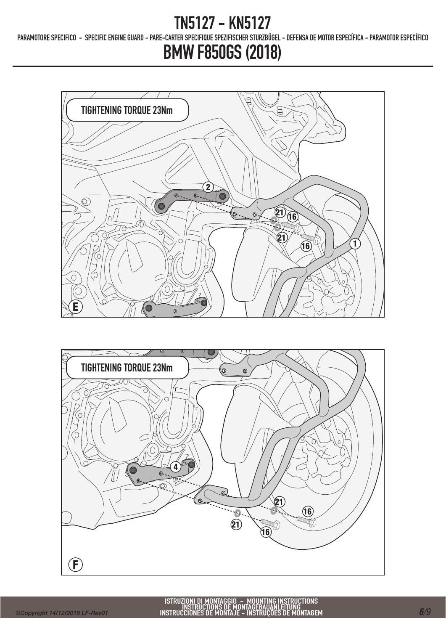PARAMOTORE SPECIFICO - SPECIFIC ENGINE GUARD - PARE-CARTER SPECIFIQUE SPEZIFISCHER STURZBÜGEL - DEFENSA DE MOTOR ESPECÍFICA - PARAMOTOR ESPECÍFICO



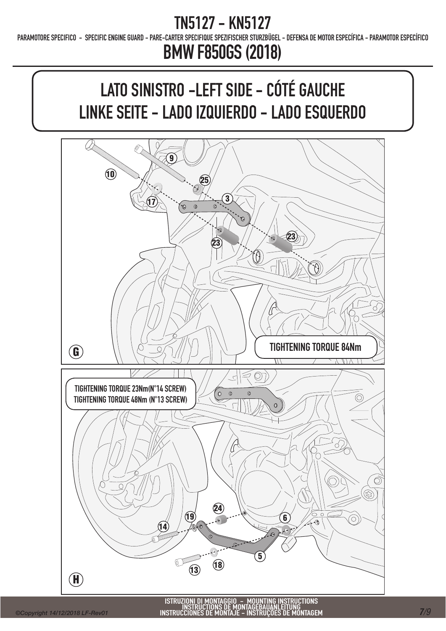PARAMOTORE SPECIFICO - SPECIFIC ENGINE GUARD - PARE-CARTER SPECIFIQUE SPEZIFISCHER STURZBÜGEL - DEFENSA DE MOTOR ESPECÍFICA - PARAMOTOR ESPECÍFICO

# BMW F850GS (2018)

# LATO SINISTRO -LEFT SIDE - CÓTÉ GAUCHE LINKE SEITE - LADO IZQUIERDO - LADO ESQUERDO



ISTRUZIONI DI MONTAGGIO - MOUNTING INSTRUCTIONS INSTRUCTIONS DE MONTAGEBAUANLEITUNG INSTRUCCIONES DE MONTAJE - INSTRUÇÕES DE MONTAGEM *<sup>7</sup>/9*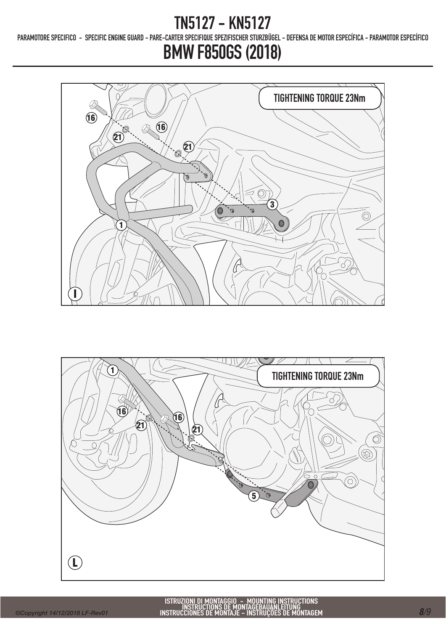PARAMOTORE SPECIFICO - SPECIFIC ENGINE GUARD - PARE-CARTER SPECIFIQUE SPEZIFISCHER STURZBÜGEL - DEFENSA DE MOTOR ESPECÍFICA - PARAMOTOR ESPECÍFICO